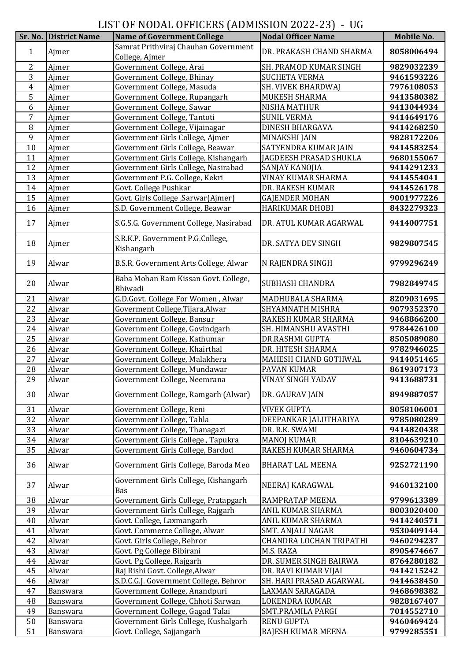LIST OF NODAL OFFICERS (ADMISSION 2022-23) - UG

|                |                       | LOT OF NODINI OFFICING (INDIVIDUON 2022 20) | v u                       |            |
|----------------|-----------------------|---------------------------------------------|---------------------------|------------|
|                | Sr. No. District Name | <b>Name of Government College</b>           | <b>Nodal Officer Name</b> | Mobile No. |
|                |                       | Samrat Prithviraj Chauhan Government        | DR. PRAKASH CHAND SHARMA  |            |
| 1              | Ajmer                 | College, Ajmer                              |                           | 8058006494 |
| 2              | Ajmer                 | Government College, Arai                    | SH. PRAMOD KUMAR SINGH    | 9829032239 |
| 3              | Ajmer                 | Government College, Bhinay                  | <b>SUCHETA VERMA</b>      | 9461593226 |
|                |                       |                                             |                           |            |
| $\overline{4}$ | Ajmer                 | Government College, Masuda                  | SH. VIVEK BHARDWAJ        | 7976108053 |
| 5              | Ajmer                 | Government College, Rupangarh               | MUKESH SHARMA             | 9413580382 |
| 6              | Ajmer                 | Government College, Sawar                   | <b>NISHA MATHUR</b>       | 9413044934 |
| $\overline{7}$ | Ajmer                 | Government College, Tantoti                 | <b>SUNIL VERMA</b>        | 9414649176 |
| $\, 8$         | Ajmer                 | Government College, Vijainagar              | <b>DINESH BHARGAVA</b>    | 9414268250 |
| 9              | Ajmer                 | Government Girls College, Ajmer             | <b>MINAKSHI JAIN</b>      | 9828172206 |
| 10             | Ajmer                 | Government Girls College, Beawar            | SATYENDRA KUMAR JAIN      | 9414583254 |
| 11             | Ajmer                 | Government Girls College, Kishangarh        | JAGDEESH PRASAD SHUKLA    | 9680155067 |
|                |                       |                                             |                           |            |
| 12             | Ajmer                 | Government Girls College, Nasirabad         | SANJAY KANOJIA            | 9414291233 |
| 13             | Ajmer                 | Government P.G. College, Kekri              | VINAY KUMAR SHARMA        | 9414554041 |
| 14             | Ajmer                 | Govt. College Pushkar                       | DR. RAKESH KUMAR          | 9414526178 |
| 15             | Ajmer                 | Govt. Girls College , Sarwar (Ajmer)        | <b>GAJENDER MOHAN</b>     | 9001977226 |
| 16             | Ajmer                 | S.D. Government College, Beawar             | <b>HARIKUMAR DHOBI</b>    | 8432279323 |
|                |                       |                                             |                           |            |
| 17             | Ajmer                 | S.G.S.G. Government College, Nasirabad      | DR. ATUL KUMAR AGARWAL    | 9414007751 |
|                |                       | S.R.K.P. Government P.G.College,            |                           |            |
| 18             | Ajmer                 | Kishangarh                                  | DR. SATYA DEV SINGH       | 9829807545 |
|                |                       |                                             |                           |            |
| 19             | Alwar                 | B.S.R. Government Arts College, Alwar       | N RAJENDRA SINGH          | 9799296249 |
|                |                       |                                             |                           |            |
| 20             | Alwar                 | Baba Mohan Ram Kissan Govt. College,        | <b>SUBHASH CHANDRA</b>    | 7982849745 |
|                |                       | Bhiwadi                                     |                           |            |
| 21             | Alwar                 | G.D.Govt. College For Women, Alwar          | MADHUBALA SHARMA          | 8209031695 |
| 22             | Alwar                 | Goverment College, Tijara, Alwar            | SHYAMNATH MISHRA          | 9079352370 |
| 23             | Alwar                 | Government College, Bansur                  | RAKESH KUMAR SHARMA       | 9468866200 |
| 24             | Alwar                 | Government College, Govindgarh              | SH. HIMANSHU AVASTHI      | 9784426100 |
|                |                       |                                             |                           |            |
| 25             | Alwar                 | Government College, Kathumar                | DR.RASHMI GUPTA           | 8505089080 |
| 26             | Alwar                 | Government College, Khairthal               | DR. HITESH SHARMA         | 9782946025 |
| 27             | Alwar                 | Government College, Malakhera               | MAHESH CHAND GOTHWAL      | 9414051465 |
| 28             | Alwar                 | Government College, Mundawar                | PAVAN KUMAR               | 8619307173 |
| 29             | Alwar                 | Government College, Neemrana                | VINAY SINGH YADAV         | 9413688731 |
|                |                       |                                             |                           |            |
| 30             | Alwar                 | Government College, Ramgarh (Alwar)         | DR. GAURAV JAIN           | 8949887057 |
| 31             | Alwar                 | Government College, Reni                    | <b>VIVEK GUPTA</b>        | 8058106001 |
| 32             | Alwar                 | Government College, Tahla                   | DEEPANKAR JALUTHARIYA     | 9785080289 |
| 33             | Alwar                 | Government College, Thanagazi               | DR. R.K. SWAMI            | 9414820438 |
|                |                       |                                             |                           |            |
| 34             | Alwar                 | Government Girls College, Tapukra           | <b>MANOJ KUMAR</b>        | 8104639210 |
| 35             | Alwar                 | Government Girls College, Bardod            | RAKESH KUMAR SHARMA       | 9460604734 |
| 36             | Alwar                 | Government Girls College, Baroda Meo        | <b>BHARAT LAL MEENA</b>   | 9252721190 |
|                |                       |                                             |                           |            |
|                |                       | Government Girls College, Kishangarh        |                           |            |
| 37             | Alwar                 | Bas                                         | NEERAJ KARAGWAL           | 9460132100 |
| 38             | Alwar                 | Government Girls College, Pratapgarh        | RAMPRATAP MEENA           | 9799613389 |
| 39             | Alwar                 | Government Girls College, Rajgarh           | ANIL KUMAR SHARMA         | 8003020400 |
| 40             | Alwar                 | Govt. College, Laxmangarh                   | ANIL KUMAR SHARMA         | 9414240571 |
|                |                       |                                             |                           |            |
| 41             | Alwar                 | Govt. Commerce College, Alwar               | SMT. ANJALI NAGAR         | 9530409144 |
| 42             | Alwar                 | Govt. Girls College, Behror                 | CHANDRA LOCHAN TRIPATHI   | 9460294237 |
| 43             | Alwar                 | Govt. Pg College Bibirani                   | M.S. RAZA                 | 8905474667 |
| 44             | Alwar                 | Govt. Pg College, Rajgarh                   | DR. SUMER SINGH BAIRWA    | 8764280182 |
| 45             | Alwar                 | Raj Rishi Govt. College, Alwar              | DR. RAVI KUMAR VIJAI      | 9414215242 |
| 46             | Alwar                 | S.D.C.G.J. Government College, Behror       | SH. HARI PRASAD AGARWAL   | 9414638450 |
| 47             | Banswara              | Government College, Anandpuri               | LAXMAN SARAGADA           | 9468698382 |
| 48             | Banswara              | Government College, Chhoti Sarwan           | LOKENDRA KUMAR            | 9828167407 |
| 49             |                       | Government College, Gagad Talai             | SMT.PRAMILA PARGI         | 7014552710 |
|                | Banswara              |                                             |                           |            |
| 50             | Banswara              | Government Girls College, Kushalgarh        | <b>RENU GUPTA</b>         | 9460469424 |
| 51             | Banswara              | Govt. College, Sajjangarh                   | RAJESH KUMAR MEENA        | 9799285551 |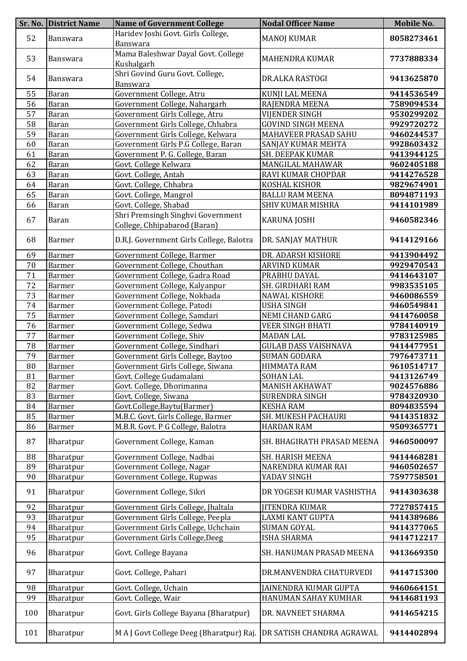|     | <b>Sr. No. District Name</b> | <b>Name of Government College</b>                                 | <b>Nodal Officer Name</b>   | <b>Mobile No.</b> |
|-----|------------------------------|-------------------------------------------------------------------|-----------------------------|-------------------|
| 52  | Banswara                     | Haridev Joshi Govt. Girls College,<br>Banswara                    | <b>MANOJ KUMAR</b>          | 8058273461        |
| 53  | Banswara                     | Mama Baleshwar Dayal Govt. College<br>Kushalgarh                  | <b>MAHENDRA KUMAR</b>       | 7737888334        |
| 54  | Banswara                     | Shri Govind Guru Govt. College,<br>Banswara                       | DR.ALKA RASTOGI             | 9413625870        |
| 55  | Baran                        | Government College, Atru                                          | KUNJI LAL MEENA             | 9414536549        |
| 56  | <b>Baran</b>                 | Government College, Nahargarh                                     | RAJENDRA MEENA              | 7589094534        |
| 57  | Baran                        | Government Girls College, Atru                                    | <b>VIJENDER SINGH</b>       | 9530299202        |
| 58  | Baran                        | Government Girls College, Chhabra                                 | <b>GOVIND SINGH MEENA</b>   | 9929720272        |
| 59  | <b>Baran</b>                 | Government Girls College, Kelwara                                 | MAHAVEER PRASAD SAHU        | 9460244537        |
| 60  | Baran                        | Government Girls P.G College, Baran                               | SANJAY KUMAR MEHTA          | 9928603432        |
| 61  | <b>Baran</b>                 | Government P. G. College, Baran                                   | SH. DEEPAK KUMAR            | 9413944125        |
| 62  | Baran                        | Govt. College Kelwara                                             | MANGILAL MAHAWAR            | 9602405188        |
| 63  | <b>Baran</b>                 | Govt. College, Antah                                              | RAVI KUMAR CHOPDAR          | 9414276528        |
| 64  | Baran                        | Govt. College, Chhabra                                            | KOSHAL KISHOR               | 9829674901        |
| 65  | Baran                        | Govt. College, Mangrol                                            | <b>BALLU RAM MEENA</b>      | 8094871193        |
| 66  | Baran                        | Govt. College, Shabad                                             | SHIV KUMAR MISHRA           | 9414101989        |
| 67  | Baran                        | Shri Premsingh Singhvi Government<br>College, Chhipabarod (Baran) | <b>KARUNA JOSHI</b>         | 9460582346        |
| 68  | <b>Barmer</b>                | D.R.J. Government Girls College, Balotra                          | DR. SANJAY MATHUR           | 9414129166        |
| 69  | Barmer                       | Government College, Barmer                                        | DR. ADARSH KISHORE          | 9413904492        |
| 70  | Barmer                       | Government College, Chouthan                                      | <b>ARVIND KUMAR</b>         | 9929470543        |
| 71  | Barmer                       | Government College, Gadra Road                                    | PRABHU DAYAL                | 9414643107        |
| 72  | Barmer                       | Government College, Kalyanpur                                     | SH. GIRDHARI RAM            | 9983535105        |
| 73  | <b>Barmer</b>                | Government College, Nokhada                                       | <b>NAWAL KISHORE</b>        | 9460086559        |
| 74  | Barmer                       | Government College, Patodi                                        | <b>USHA SINGH</b>           | 9460549841        |
| 75  | Barmer                       | Government College, Samdari                                       | <b>NEMI CHAND GARG</b>      | 9414760058        |
| 76  | Barmer                       | Government College, Sedwa                                         | <b>VEER SINGH BHATI</b>     | 9784140919        |
| 77  | <b>Barmer</b>                | Government College, Shiv                                          | <b>MADAN LAL</b>            | 9783125985        |
| 78  | <b>Barmer</b>                | Government College, Sindhari                                      | <b>GULAB DASS VAISHNAVA</b> | 9414477951        |
| 79  | Barmer                       | Government Girls College, Baytoo                                  | <b>SUMAN GODARA</b>         | 7976473711        |
| 80  | <b>Barmer</b>                | Government Girls College, Siwana                                  | <b>HIMMATA RAM</b>          | 9610514717        |
| 81  | Barmer                       | Govt. College Gudamalani                                          | <b>SOHAN LAL</b>            | 9413126749        |
| 82  | Barmer                       | Govt. College, Dhorimanna                                         | <b>MANISH AKHAWAT</b>       | 9024576886        |
| 83  | <b>Barmer</b>                | Govt. College, Siwana                                             | SURENDRA SINGH              | 9784320930        |
| 84  | <b>Barmer</b>                | Govt.College,Baytu(Barmer)                                        | <b>KESHA RAM</b>            | 8094835594        |
| 85  | Barmer                       | M.B.C. Govt. Girls College, Barmer                                | <b>SH. MUKESH PACHAURI</b>  | 9414351832        |
| 86  | Barmer                       | M.B.R. Govt. P G College, Balotra                                 | <b>HARDAN RAM</b>           | 9509365771        |
| 87  | Bharatpur                    | Government College, Kaman                                         | SH. BHAGIRATH PRASAD MEENA  | 9460500097        |
| 88  | Bharatpur                    | Government College, Nadbai                                        | SH. HARISH MEENA            | 9414468281        |
| 89  | Bharatpur                    | Government College, Nagar                                         | NARENDRA KUMAR RAI          | 9460502657        |
| 90  | Bharatpur                    | Government College, Rupwas                                        | YADAV SINGH                 | 7597758501        |
| 91  | Bharatpur                    | Government College, Sikri                                         | DR YOGESH KUMAR VASHISTHA   | 9414303638        |
| 92  | Bharatpur                    | Government Girls College, Jhaltala                                | <b>JITENDRA KUMAR</b>       | 7727857415        |
| 93  | Bharatpur                    | Government Girls College, Peepla                                  | LAXMI KANT GUPTA            | 9414389686        |
| 94  | Bharatpur                    | Government Girls College, Uchchain                                | <b>SUMAN GOYAL</b>          | 9414377065        |
| 95  | Bharatpur                    | Government Girls College, Deeg                                    | <b>ISHA SHARMA</b>          | 9414712217        |
| 96  | Bharatpur                    | Govt. College Bayana                                              | SH. HANUMAN PRASAD MEENA    | 9413669350        |
| 97  | Bharatpur                    | Govt. College, Pahari                                             | DR.MANVENDRA CHATURVEDI     | 9414715300        |
| 98  | Bharatpur                    | Govt. College, Uchain                                             | JAINENDRA KUMAR GUPTA       | 9460664151        |
| 99  | Bharatpur                    | Govt. College, Wair                                               | HANUMAN SAHAY KUMHAR        | 9414681193        |
| 100 | Bharatpur                    | Govt. Girls College Bayana (Bharatpur)                            | DR. NAVNEET SHARMA          | 9414654215        |
| 101 | Bharatpur                    | M A J Govt College Deeg (Bharatpur) Raj.                          | DR SATISH CHANDRA AGRAWAL   | 9414402894        |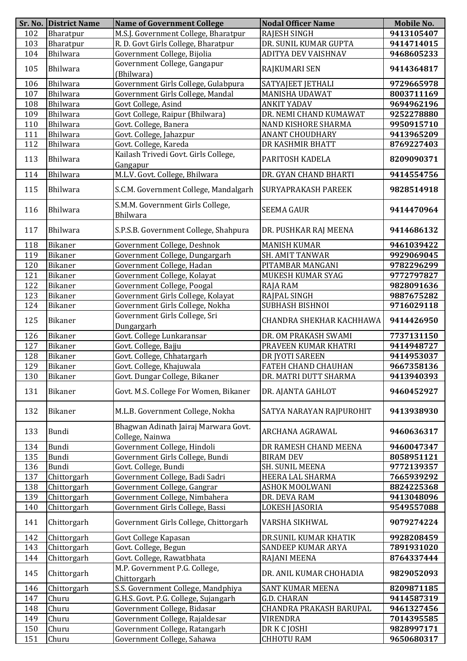|     | <b>Sr. No. District Name</b> | <b>Name of Government College</b>                       | <b>Nodal Officer Name</b>  | Mobile No. |
|-----|------------------------------|---------------------------------------------------------|----------------------------|------------|
| 102 | Bharatpur                    | M.S.J. Government College, Bharatpur                    | RAJESH SINGH               | 9413105407 |
| 103 | Bharatpur                    | R. D. Govt Girls College, Bharatpur                     | DR. SUNIL KUMAR GUPTA      | 9414714015 |
| 104 | Bhilwara                     | Government College, Bijolia                             | ADITYA DEV VAISHNAV        | 9468605233 |
| 105 | Bhilwara                     | Government College, Gangapur<br>(Bhilwara)              | RAJKUMARI SEN              | 9414364817 |
| 106 | Bhilwara                     | Government Girls College, Gulabpura                     | SATYAJEET JETHALI          | 9729665978 |
| 107 | Bhilwara                     | Government Girls College, Mandal                        | <b>MANISHA UDAWAT</b>      | 8003711169 |
| 108 | Bhilwara                     | Govt College, Asind                                     | <b>ANKIT YADAV</b>         | 9694962196 |
| 109 | Bhilwara                     | Govt College, Raipur (Bhilwara)                         | DR. NEMI CHAND KUMAWAT     | 9252278880 |
| 110 | Bhilwara                     | Govt. College, Banera                                   | NAND KISHORE SHARMA        | 9950915710 |
| 111 | Bhilwara                     | Govt. College, Jahazpur                                 | <b>ANANT CHOUDHARY</b>     | 9413965209 |
| 112 | Bhilwara                     | Govt. College, Kareda                                   | DR KASHMIR BHATT           | 8769227403 |
| 113 | Bhilwara                     | Kailash Trivedi Govt. Girls College,<br>Gangapur        | PARITOSH KADELA            | 8209090371 |
| 114 | Bhilwara                     | M.L.V. Govt. College, Bhilwara                          | DR. GYAN CHAND BHARTI      | 9414554756 |
| 115 | Bhilwara                     | S.C.M. Government College, Mandalgarh                   | <b>SURYAPRAKASH PAREEK</b> | 9828514918 |
| 116 | Bhilwara                     | S.M.M. Government Girls College,<br><b>Bhilwara</b>     | <b>SEEMA GAUR</b>          | 9414470964 |
| 117 | Bhilwara                     | S.P.S.B. Government College, Shahpura                   | DR. PUSHKAR RAJ MEENA      | 9414686132 |
| 118 | Bikaner                      | Government College, Deshnok                             | <b>MANISH KUMAR</b>        | 9461039422 |
| 119 | <b>Bikaner</b>               | Government College, Dungargarh                          | <b>SH. AMIT TANWAR</b>     | 9929069045 |
| 120 | Bikaner                      | Government College, Hadan                               | PITAMBAR MANGANI           | 9782296299 |
| 121 | Bikaner                      | Government College, Kolayat                             | MUKESH KUMAR SYAG          | 9772797827 |
| 122 | Bikaner                      | Government College, Poogal                              | RAJA RAM                   | 9828091636 |
| 123 | Bikaner                      | Government Girls College, Kolayat                       | RAJPAL SINGH               | 9887675282 |
| 124 | Bikaner                      | Government Girls College, Nokha                         | SUBHASH BISHNOI            | 9716029118 |
| 125 | Bikaner                      | Government Girls College, Sri<br>Dungargarh             | CHANDRA SHEKHAR KACHHAWA   | 9414426950 |
| 126 | Bikaner                      | Govt. College Lunkaransar                               | DR. OM PRAKASH SWAMI       | 7737131150 |
| 127 | <b>Bikaner</b>               | Govt. College, Bajju                                    | PRAVEEN KUMAR KHATRI       | 9414948727 |
| 128 | Bikaner                      | Govt. College, Chhatargarh                              | DR JYOTI SAREEN            | 9414953037 |
| 129 | Bikaner                      | Govt. College, Khajuwala                                | <b>FATEH CHAND CHAUHAN</b> | 9667358136 |
| 130 | <b>Bikaner</b>               | Govt. Dungar College, Bikaner                           | DR. MATRI DUTT SHARMA      | 9413940393 |
| 131 | Bikaner                      | Govt. M.S. College For Women, Bikaner                   | DR. AJANTA GAHLOT          | 9460452927 |
| 132 | Bikaner                      | M.L.B. Government College, Nokha                        | SATYA NARAYAN RAJPUROHIT   | 9413938930 |
| 133 | Bundi                        | Bhagwan Adinath Jairaj Marwara Govt.<br>College, Nainwa | ARCHANA AGRAWAL            | 9460636317 |
| 134 | Bundi                        | Government College, Hindoli                             | DR RAMESH CHAND MEENA      | 9460047347 |
| 135 | Bundi                        | Government Girls College, Bundi                         | <b>BIRAM DEV</b>           | 8058951121 |
| 136 | Bundi                        | Govt. College, Bundi                                    | SH. SUNIL MEENA            | 9772139357 |
| 137 | Chittorgarh                  | Government College, Badi Sadri                          | HEERA LAL SHARMA           | 7665939292 |
| 138 | Chittorgarh                  | Government College, Gangrar                             | ASHOK MOOLWANI             | 8824225368 |
| 139 | Chittorgarh                  | Government College, Nimbahera                           | DR. DEVA RAM               | 9413048096 |
| 140 | Chittorgarh                  | Government Girls College, Bassi                         | LOKESH JASORIA             | 9549557088 |
| 141 | Chittorgarh                  | Government Girls College, Chittorgarh                   | VARSHA SIKHWAL             | 9079274224 |
| 142 | Chittorgarh                  | Govt College Kapasan                                    | DR.SUNIL KUMAR KHATIK      | 9928208459 |
| 143 | Chittorgarh                  | Govt. College, Begun                                    | SANDEEP KUMAR ARYA         | 7891931020 |
| 144 | Chittorgarh                  | Govt. College, Rawatbhata                               | RAJANI MEENA               | 8764337444 |
| 145 | Chittorgarh                  | M.P. Government P.G. College,<br>Chittorgarh            | DR. ANIL KUMAR CHOHADIA    | 9829052093 |
| 146 | Chittorgarh                  | S.S. Government College, Mandphiya                      | SANT KUMAR MEENA           | 8209871185 |
| 147 | Churu                        | G.H.S. Govt. P.G. College, Sujangarh                    | <b>G.D. CHARAN</b>         | 9414587319 |
| 148 | Churu                        | Government College, Bidasar                             | CHANDRA PRAKASH BARUPAL    | 9461327456 |
| 149 | Churu                        | Government College, Rajaldesar                          | VIRENDRA                   | 7014395585 |
| 150 | Churu                        | Government College, Ratangarh                           | DR K C JOSHI               | 9828997171 |
| 151 | Churu                        | Government College, Sahawa                              | <b>CHHOTU RAM</b>          | 9650680317 |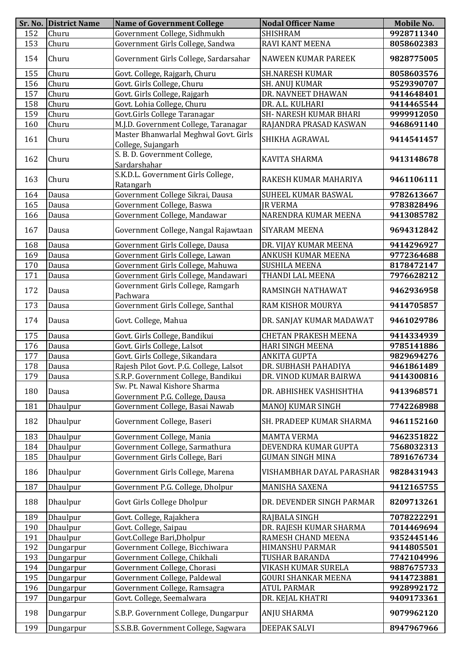| <b>SHISHRAM</b><br>152<br>Churu<br>9928711340<br>Government Girls College, Sandwa<br>153<br>RAVI KANT MEENA<br>Churu<br>8058602383<br>Churu<br>Government Girls College, Sardarsahar<br>154<br><b>NAWEEN KUMAR PAREEK</b><br>9828775005<br>155<br>Churu<br>Govt. College, Rajgarh, Churu<br><b>SH.NARESH KUMAR</b><br>8058603576<br>Churu<br>Govt. Girls College, Churu<br><b>SH. ANUJ KUMAR</b><br>156<br>9529390707<br>Churu<br>Govt. Girls College, Rajgarh<br>157<br>DR. NAVNEET DHAWAN<br>9414648401<br>Churu<br>Govt. Lohia College, Churu<br>158<br>DR. A.L. KULHARI<br>9414465544<br>Govt.Girls College Taranagar<br>159<br>Churu<br><b>SH- NARESH KUMAR BHARI</b><br>9999912050<br>Churu<br>M.J.D. Government College, Taranagar<br>160<br>RAJANDRA PRASAD KASWAN<br>9468691140<br>Master Bhanwarlal Meghwal Govt. Girls<br>SHIKHA AGRAWAL<br>161<br>Churu<br>9414541457<br>College, Sujangarh<br>S. B. D. Government College,<br>162<br>Churu<br>KAVITA SHARMA<br>9413148678<br>Sardarshahar<br>S.K.D.L. Government Girls College,<br>163<br>Churu<br>9461106111<br>RAKESH KUMAR MAHARIYA<br>Ratangarh<br>Government College Sikrai, Dausa<br>Dausa<br>164<br>SUHEEL KUMAR BASWAL<br>9782613667<br>Government College, Baswa<br><b>JR VERMA</b><br>9783828496<br>165<br>Dausa<br>Government College, Mandawar<br>NARENDRA KUMAR MEENA<br>9413085782<br>166<br>Dausa<br>9694312842<br>167<br>Government College, Nangal Rajawtaan<br><b>SIYARAM MEENA</b><br>Dausa<br>Government Girls College, Dausa<br>DR. VIJAY KUMAR MEENA<br>9414296927<br>168<br>Dausa<br>169<br>Dausa<br>Government Girls College, Lawan<br>ANKUSH KUMAR MEENA<br>9772364688<br>170<br>Government Girls College, Mahuwa<br><b>SUSHILA MEENA</b><br>Dausa<br>8178472147<br>171<br>Dausa<br>Government Girls College, Mandawari<br>THANDI LAL MEENA<br>7976628212<br>Government Girls College, Ramgarh<br>172<br>RAMSINGH NATHAWAT<br>9462936958<br>Dausa<br>Pachwara<br>Government Girls College, Santhal<br>RAM KISHOR MOURYA<br>9414705857<br>173<br>Dausa<br>Govt. College, Mahua<br>DR. SANJAY KUMAR MADAWAT<br>9461029786<br>174<br>Dausa<br><b>CHETAN PRAKESH MEENA</b><br>175<br>Dausa<br>Govt. Girls College, Bandikui<br>9414334939<br>176<br>Govt. Girls College, Lalsot<br><b>HARI SINGH MEENA</b><br>Dausa<br>9785141886<br>Govt. Girls College, Sikandara<br>177<br>Dausa<br><b>ANKITA GUPTA</b><br>9829694276<br>178<br>Rajesh Pilot Govt. P.G. College, Lalsot<br>Dausa<br>DR. SUBHASH PAHADIYA<br>9461861489<br>DR. VINOD KUMAR BAIRWA<br>9414300816<br>179<br>Dausa<br>S.R.P. Government College, Bandikui<br>Sw. Pt. Nawal Kishore Sharma<br>DR. ABHISHEK VASHISHTHA<br>9413968571<br>180<br>Dausa<br>Government P.G. College, Dausa<br>Government College, Basai Nawab<br>Dhaulpur<br><b>MANOJ KUMAR SINGH</b><br>181<br>7742268988<br>182<br>Dhaulpur<br>Government College, Baseri<br>SH. PRADEEP KUMAR SHARMA<br>9461152160<br>Dhaulpur<br>183<br>Government College, Mania<br><b>MAMTA VERMA</b><br>9462351822<br>Government College, Sarmathura<br>DEVENDRA KUMAR GUPTA<br>184<br>Dhaulpur<br>7568032313<br>Government Girls College, Bari<br>Dhaulpur<br><b>GUMAN SINGH MINA</b><br>7891676734<br>185<br>Government Girls College, Marena<br>186<br>Dhaulpur<br>VISHAMBHAR DAYAL PARASHAR<br>9828431943<br>187<br>Dhaulpur<br>Government P.G. College, Dholpur<br>MANISHA SAXENA<br>9412165755<br>Dhaulpur<br>Govt Girls College Dholpur<br>188<br>DR. DEVENDER SINGH PARMAR<br>8209713261<br>189<br>Dhaulpur<br>Govt. College, Rajakhera<br>7078222291<br>RAJBALA SINGH<br>Dhaulpur<br>Govt. College, Saipau<br>190<br>DR. RAJESH KUMAR SHARMA<br>7014469694<br>Govt.College Bari,Dholpur<br>Dhaulpur<br>191<br>RAMESH CHAND MEENA<br>9352445146<br>192<br>Government College, Bicchiwara<br>HIMANSHU PARMAR<br>9414805501<br>Dungarpur<br>193<br>Government College, Chikhali<br>Dungarpur<br>TUSHAR BARANDA<br>7742104996<br>Government College, Chorasi<br>194<br>Dungarpur<br>VIKASH KUMAR SURELA<br>9887675733<br>Government College, Paldewal<br>195<br><b>GOURI SHANKAR MEENA</b><br>9414723881<br>Dungarpur<br>196<br>Government College, Ramsagra<br><b>ATUL PARMAR</b><br>9928992172<br>Dungarpur<br>Govt. College, Seemalwara<br>197<br>DR. KEJAL KHATRI<br>9409173361<br>Dungarpur<br>S.B.P. Government College, Dungarpur<br>198<br>ANJU SHARMA<br>9079962120<br>Dungarpur<br>199<br>S.S.B.B. Government College, Sagwara<br><b>DEEPAK SALVI</b><br>8947967966<br>Dungarpur | Sr. No. District Name | <b>Name of Government College</b> | <b>Nodal Officer Name</b> | <b>Mobile No.</b> |
|---------------------------------------------------------------------------------------------------------------------------------------------------------------------------------------------------------------------------------------------------------------------------------------------------------------------------------------------------------------------------------------------------------------------------------------------------------------------------------------------------------------------------------------------------------------------------------------------------------------------------------------------------------------------------------------------------------------------------------------------------------------------------------------------------------------------------------------------------------------------------------------------------------------------------------------------------------------------------------------------------------------------------------------------------------------------------------------------------------------------------------------------------------------------------------------------------------------------------------------------------------------------------------------------------------------------------------------------------------------------------------------------------------------------------------------------------------------------------------------------------------------------------------------------------------------------------------------------------------------------------------------------------------------------------------------------------------------------------------------------------------------------------------------------------------------------------------------------------------------------------------------------------------------------------------------------------------------------------------------------------------------------------------------------------------------------------------------------------------------------------------------------------------------------------------------------------------------------------------------------------------------------------------------------------------------------------------------------------------------------------------------------------------------------------------------------------------------------------------------------------------------------------------------------------------------------------------------------------------------------------------------------------------------------------------------------------------------------------------------------------------------------------------------------------------------------------------------------------------------------------------------------------------------------------------------------------------------------------------------------------------------------------------------------------------------------------------------------------------------------------------------------------------------------------------------------------------------------------------------------------------------------------------------------------------------------------------------------------------------------------------------------------------------------------------------------------------------------------------------------------------------------------------------------------------------------------------------------------------------------------------------------------------------------------------------------------------------------------------------------------------------------------------------------------------------------------------------------------------------------------------------------------------------------------------------------------------------------------------------------------------------------------------------------------------------------------------------------------------------------------------------------------------------------------------------------------------------------------------------------------------------------------------------------------------------------------------------------------------------------------------------------------------------------------------------------------------------------------------------------------|-----------------------|-----------------------------------|---------------------------|-------------------|
|                                                                                                                                                                                                                                                                                                                                                                                                                                                                                                                                                                                                                                                                                                                                                                                                                                                                                                                                                                                                                                                                                                                                                                                                                                                                                                                                                                                                                                                                                                                                                                                                                                                                                                                                                                                                                                                                                                                                                                                                                                                                                                                                                                                                                                                                                                                                                                                                                                                                                                                                                                                                                                                                                                                                                                                                                                                                                                                                                                                                                                                                                                                                                                                                                                                                                                                                                                                                                                                                                                                                                                                                                                                                                                                                                                                                                                                                                                                                                                                                                                                                                                                                                                                                                                                                                                                                                                                                                                                                                                   |                       | Government College, Sidhmukh      |                           |                   |
|                                                                                                                                                                                                                                                                                                                                                                                                                                                                                                                                                                                                                                                                                                                                                                                                                                                                                                                                                                                                                                                                                                                                                                                                                                                                                                                                                                                                                                                                                                                                                                                                                                                                                                                                                                                                                                                                                                                                                                                                                                                                                                                                                                                                                                                                                                                                                                                                                                                                                                                                                                                                                                                                                                                                                                                                                                                                                                                                                                                                                                                                                                                                                                                                                                                                                                                                                                                                                                                                                                                                                                                                                                                                                                                                                                                                                                                                                                                                                                                                                                                                                                                                                                                                                                                                                                                                                                                                                                                                                                   |                       |                                   |                           |                   |
|                                                                                                                                                                                                                                                                                                                                                                                                                                                                                                                                                                                                                                                                                                                                                                                                                                                                                                                                                                                                                                                                                                                                                                                                                                                                                                                                                                                                                                                                                                                                                                                                                                                                                                                                                                                                                                                                                                                                                                                                                                                                                                                                                                                                                                                                                                                                                                                                                                                                                                                                                                                                                                                                                                                                                                                                                                                                                                                                                                                                                                                                                                                                                                                                                                                                                                                                                                                                                                                                                                                                                                                                                                                                                                                                                                                                                                                                                                                                                                                                                                                                                                                                                                                                                                                                                                                                                                                                                                                                                                   |                       |                                   |                           |                   |
|                                                                                                                                                                                                                                                                                                                                                                                                                                                                                                                                                                                                                                                                                                                                                                                                                                                                                                                                                                                                                                                                                                                                                                                                                                                                                                                                                                                                                                                                                                                                                                                                                                                                                                                                                                                                                                                                                                                                                                                                                                                                                                                                                                                                                                                                                                                                                                                                                                                                                                                                                                                                                                                                                                                                                                                                                                                                                                                                                                                                                                                                                                                                                                                                                                                                                                                                                                                                                                                                                                                                                                                                                                                                                                                                                                                                                                                                                                                                                                                                                                                                                                                                                                                                                                                                                                                                                                                                                                                                                                   |                       |                                   |                           |                   |
|                                                                                                                                                                                                                                                                                                                                                                                                                                                                                                                                                                                                                                                                                                                                                                                                                                                                                                                                                                                                                                                                                                                                                                                                                                                                                                                                                                                                                                                                                                                                                                                                                                                                                                                                                                                                                                                                                                                                                                                                                                                                                                                                                                                                                                                                                                                                                                                                                                                                                                                                                                                                                                                                                                                                                                                                                                                                                                                                                                                                                                                                                                                                                                                                                                                                                                                                                                                                                                                                                                                                                                                                                                                                                                                                                                                                                                                                                                                                                                                                                                                                                                                                                                                                                                                                                                                                                                                                                                                                                                   |                       |                                   |                           |                   |
|                                                                                                                                                                                                                                                                                                                                                                                                                                                                                                                                                                                                                                                                                                                                                                                                                                                                                                                                                                                                                                                                                                                                                                                                                                                                                                                                                                                                                                                                                                                                                                                                                                                                                                                                                                                                                                                                                                                                                                                                                                                                                                                                                                                                                                                                                                                                                                                                                                                                                                                                                                                                                                                                                                                                                                                                                                                                                                                                                                                                                                                                                                                                                                                                                                                                                                                                                                                                                                                                                                                                                                                                                                                                                                                                                                                                                                                                                                                                                                                                                                                                                                                                                                                                                                                                                                                                                                                                                                                                                                   |                       |                                   |                           |                   |
|                                                                                                                                                                                                                                                                                                                                                                                                                                                                                                                                                                                                                                                                                                                                                                                                                                                                                                                                                                                                                                                                                                                                                                                                                                                                                                                                                                                                                                                                                                                                                                                                                                                                                                                                                                                                                                                                                                                                                                                                                                                                                                                                                                                                                                                                                                                                                                                                                                                                                                                                                                                                                                                                                                                                                                                                                                                                                                                                                                                                                                                                                                                                                                                                                                                                                                                                                                                                                                                                                                                                                                                                                                                                                                                                                                                                                                                                                                                                                                                                                                                                                                                                                                                                                                                                                                                                                                                                                                                                                                   |                       |                                   |                           |                   |
|                                                                                                                                                                                                                                                                                                                                                                                                                                                                                                                                                                                                                                                                                                                                                                                                                                                                                                                                                                                                                                                                                                                                                                                                                                                                                                                                                                                                                                                                                                                                                                                                                                                                                                                                                                                                                                                                                                                                                                                                                                                                                                                                                                                                                                                                                                                                                                                                                                                                                                                                                                                                                                                                                                                                                                                                                                                                                                                                                                                                                                                                                                                                                                                                                                                                                                                                                                                                                                                                                                                                                                                                                                                                                                                                                                                                                                                                                                                                                                                                                                                                                                                                                                                                                                                                                                                                                                                                                                                                                                   |                       |                                   |                           |                   |
|                                                                                                                                                                                                                                                                                                                                                                                                                                                                                                                                                                                                                                                                                                                                                                                                                                                                                                                                                                                                                                                                                                                                                                                                                                                                                                                                                                                                                                                                                                                                                                                                                                                                                                                                                                                                                                                                                                                                                                                                                                                                                                                                                                                                                                                                                                                                                                                                                                                                                                                                                                                                                                                                                                                                                                                                                                                                                                                                                                                                                                                                                                                                                                                                                                                                                                                                                                                                                                                                                                                                                                                                                                                                                                                                                                                                                                                                                                                                                                                                                                                                                                                                                                                                                                                                                                                                                                                                                                                                                                   |                       |                                   |                           |                   |
|                                                                                                                                                                                                                                                                                                                                                                                                                                                                                                                                                                                                                                                                                                                                                                                                                                                                                                                                                                                                                                                                                                                                                                                                                                                                                                                                                                                                                                                                                                                                                                                                                                                                                                                                                                                                                                                                                                                                                                                                                                                                                                                                                                                                                                                                                                                                                                                                                                                                                                                                                                                                                                                                                                                                                                                                                                                                                                                                                                                                                                                                                                                                                                                                                                                                                                                                                                                                                                                                                                                                                                                                                                                                                                                                                                                                                                                                                                                                                                                                                                                                                                                                                                                                                                                                                                                                                                                                                                                                                                   |                       |                                   |                           |                   |
|                                                                                                                                                                                                                                                                                                                                                                                                                                                                                                                                                                                                                                                                                                                                                                                                                                                                                                                                                                                                                                                                                                                                                                                                                                                                                                                                                                                                                                                                                                                                                                                                                                                                                                                                                                                                                                                                                                                                                                                                                                                                                                                                                                                                                                                                                                                                                                                                                                                                                                                                                                                                                                                                                                                                                                                                                                                                                                                                                                                                                                                                                                                                                                                                                                                                                                                                                                                                                                                                                                                                                                                                                                                                                                                                                                                                                                                                                                                                                                                                                                                                                                                                                                                                                                                                                                                                                                                                                                                                                                   |                       |                                   |                           |                   |
|                                                                                                                                                                                                                                                                                                                                                                                                                                                                                                                                                                                                                                                                                                                                                                                                                                                                                                                                                                                                                                                                                                                                                                                                                                                                                                                                                                                                                                                                                                                                                                                                                                                                                                                                                                                                                                                                                                                                                                                                                                                                                                                                                                                                                                                                                                                                                                                                                                                                                                                                                                                                                                                                                                                                                                                                                                                                                                                                                                                                                                                                                                                                                                                                                                                                                                                                                                                                                                                                                                                                                                                                                                                                                                                                                                                                                                                                                                                                                                                                                                                                                                                                                                                                                                                                                                                                                                                                                                                                                                   |                       |                                   |                           |                   |
|                                                                                                                                                                                                                                                                                                                                                                                                                                                                                                                                                                                                                                                                                                                                                                                                                                                                                                                                                                                                                                                                                                                                                                                                                                                                                                                                                                                                                                                                                                                                                                                                                                                                                                                                                                                                                                                                                                                                                                                                                                                                                                                                                                                                                                                                                                                                                                                                                                                                                                                                                                                                                                                                                                                                                                                                                                                                                                                                                                                                                                                                                                                                                                                                                                                                                                                                                                                                                                                                                                                                                                                                                                                                                                                                                                                                                                                                                                                                                                                                                                                                                                                                                                                                                                                                                                                                                                                                                                                                                                   |                       |                                   |                           |                   |
|                                                                                                                                                                                                                                                                                                                                                                                                                                                                                                                                                                                                                                                                                                                                                                                                                                                                                                                                                                                                                                                                                                                                                                                                                                                                                                                                                                                                                                                                                                                                                                                                                                                                                                                                                                                                                                                                                                                                                                                                                                                                                                                                                                                                                                                                                                                                                                                                                                                                                                                                                                                                                                                                                                                                                                                                                                                                                                                                                                                                                                                                                                                                                                                                                                                                                                                                                                                                                                                                                                                                                                                                                                                                                                                                                                                                                                                                                                                                                                                                                                                                                                                                                                                                                                                                                                                                                                                                                                                                                                   |                       |                                   |                           |                   |
|                                                                                                                                                                                                                                                                                                                                                                                                                                                                                                                                                                                                                                                                                                                                                                                                                                                                                                                                                                                                                                                                                                                                                                                                                                                                                                                                                                                                                                                                                                                                                                                                                                                                                                                                                                                                                                                                                                                                                                                                                                                                                                                                                                                                                                                                                                                                                                                                                                                                                                                                                                                                                                                                                                                                                                                                                                                                                                                                                                                                                                                                                                                                                                                                                                                                                                                                                                                                                                                                                                                                                                                                                                                                                                                                                                                                                                                                                                                                                                                                                                                                                                                                                                                                                                                                                                                                                                                                                                                                                                   |                       |                                   |                           |                   |
|                                                                                                                                                                                                                                                                                                                                                                                                                                                                                                                                                                                                                                                                                                                                                                                                                                                                                                                                                                                                                                                                                                                                                                                                                                                                                                                                                                                                                                                                                                                                                                                                                                                                                                                                                                                                                                                                                                                                                                                                                                                                                                                                                                                                                                                                                                                                                                                                                                                                                                                                                                                                                                                                                                                                                                                                                                                                                                                                                                                                                                                                                                                                                                                                                                                                                                                                                                                                                                                                                                                                                                                                                                                                                                                                                                                                                                                                                                                                                                                                                                                                                                                                                                                                                                                                                                                                                                                                                                                                                                   |                       |                                   |                           |                   |
|                                                                                                                                                                                                                                                                                                                                                                                                                                                                                                                                                                                                                                                                                                                                                                                                                                                                                                                                                                                                                                                                                                                                                                                                                                                                                                                                                                                                                                                                                                                                                                                                                                                                                                                                                                                                                                                                                                                                                                                                                                                                                                                                                                                                                                                                                                                                                                                                                                                                                                                                                                                                                                                                                                                                                                                                                                                                                                                                                                                                                                                                                                                                                                                                                                                                                                                                                                                                                                                                                                                                                                                                                                                                                                                                                                                                                                                                                                                                                                                                                                                                                                                                                                                                                                                                                                                                                                                                                                                                                                   |                       |                                   |                           |                   |
|                                                                                                                                                                                                                                                                                                                                                                                                                                                                                                                                                                                                                                                                                                                                                                                                                                                                                                                                                                                                                                                                                                                                                                                                                                                                                                                                                                                                                                                                                                                                                                                                                                                                                                                                                                                                                                                                                                                                                                                                                                                                                                                                                                                                                                                                                                                                                                                                                                                                                                                                                                                                                                                                                                                                                                                                                                                                                                                                                                                                                                                                                                                                                                                                                                                                                                                                                                                                                                                                                                                                                                                                                                                                                                                                                                                                                                                                                                                                                                                                                                                                                                                                                                                                                                                                                                                                                                                                                                                                                                   |                       |                                   |                           |                   |
|                                                                                                                                                                                                                                                                                                                                                                                                                                                                                                                                                                                                                                                                                                                                                                                                                                                                                                                                                                                                                                                                                                                                                                                                                                                                                                                                                                                                                                                                                                                                                                                                                                                                                                                                                                                                                                                                                                                                                                                                                                                                                                                                                                                                                                                                                                                                                                                                                                                                                                                                                                                                                                                                                                                                                                                                                                                                                                                                                                                                                                                                                                                                                                                                                                                                                                                                                                                                                                                                                                                                                                                                                                                                                                                                                                                                                                                                                                                                                                                                                                                                                                                                                                                                                                                                                                                                                                                                                                                                                                   |                       |                                   |                           |                   |
|                                                                                                                                                                                                                                                                                                                                                                                                                                                                                                                                                                                                                                                                                                                                                                                                                                                                                                                                                                                                                                                                                                                                                                                                                                                                                                                                                                                                                                                                                                                                                                                                                                                                                                                                                                                                                                                                                                                                                                                                                                                                                                                                                                                                                                                                                                                                                                                                                                                                                                                                                                                                                                                                                                                                                                                                                                                                                                                                                                                                                                                                                                                                                                                                                                                                                                                                                                                                                                                                                                                                                                                                                                                                                                                                                                                                                                                                                                                                                                                                                                                                                                                                                                                                                                                                                                                                                                                                                                                                                                   |                       |                                   |                           |                   |
|                                                                                                                                                                                                                                                                                                                                                                                                                                                                                                                                                                                                                                                                                                                                                                                                                                                                                                                                                                                                                                                                                                                                                                                                                                                                                                                                                                                                                                                                                                                                                                                                                                                                                                                                                                                                                                                                                                                                                                                                                                                                                                                                                                                                                                                                                                                                                                                                                                                                                                                                                                                                                                                                                                                                                                                                                                                                                                                                                                                                                                                                                                                                                                                                                                                                                                                                                                                                                                                                                                                                                                                                                                                                                                                                                                                                                                                                                                                                                                                                                                                                                                                                                                                                                                                                                                                                                                                                                                                                                                   |                       |                                   |                           |                   |
|                                                                                                                                                                                                                                                                                                                                                                                                                                                                                                                                                                                                                                                                                                                                                                                                                                                                                                                                                                                                                                                                                                                                                                                                                                                                                                                                                                                                                                                                                                                                                                                                                                                                                                                                                                                                                                                                                                                                                                                                                                                                                                                                                                                                                                                                                                                                                                                                                                                                                                                                                                                                                                                                                                                                                                                                                                                                                                                                                                                                                                                                                                                                                                                                                                                                                                                                                                                                                                                                                                                                                                                                                                                                                                                                                                                                                                                                                                                                                                                                                                                                                                                                                                                                                                                                                                                                                                                                                                                                                                   |                       |                                   |                           |                   |
|                                                                                                                                                                                                                                                                                                                                                                                                                                                                                                                                                                                                                                                                                                                                                                                                                                                                                                                                                                                                                                                                                                                                                                                                                                                                                                                                                                                                                                                                                                                                                                                                                                                                                                                                                                                                                                                                                                                                                                                                                                                                                                                                                                                                                                                                                                                                                                                                                                                                                                                                                                                                                                                                                                                                                                                                                                                                                                                                                                                                                                                                                                                                                                                                                                                                                                                                                                                                                                                                                                                                                                                                                                                                                                                                                                                                                                                                                                                                                                                                                                                                                                                                                                                                                                                                                                                                                                                                                                                                                                   |                       |                                   |                           |                   |
|                                                                                                                                                                                                                                                                                                                                                                                                                                                                                                                                                                                                                                                                                                                                                                                                                                                                                                                                                                                                                                                                                                                                                                                                                                                                                                                                                                                                                                                                                                                                                                                                                                                                                                                                                                                                                                                                                                                                                                                                                                                                                                                                                                                                                                                                                                                                                                                                                                                                                                                                                                                                                                                                                                                                                                                                                                                                                                                                                                                                                                                                                                                                                                                                                                                                                                                                                                                                                                                                                                                                                                                                                                                                                                                                                                                                                                                                                                                                                                                                                                                                                                                                                                                                                                                                                                                                                                                                                                                                                                   |                       |                                   |                           |                   |
|                                                                                                                                                                                                                                                                                                                                                                                                                                                                                                                                                                                                                                                                                                                                                                                                                                                                                                                                                                                                                                                                                                                                                                                                                                                                                                                                                                                                                                                                                                                                                                                                                                                                                                                                                                                                                                                                                                                                                                                                                                                                                                                                                                                                                                                                                                                                                                                                                                                                                                                                                                                                                                                                                                                                                                                                                                                                                                                                                                                                                                                                                                                                                                                                                                                                                                                                                                                                                                                                                                                                                                                                                                                                                                                                                                                                                                                                                                                                                                                                                                                                                                                                                                                                                                                                                                                                                                                                                                                                                                   |                       |                                   |                           |                   |
|                                                                                                                                                                                                                                                                                                                                                                                                                                                                                                                                                                                                                                                                                                                                                                                                                                                                                                                                                                                                                                                                                                                                                                                                                                                                                                                                                                                                                                                                                                                                                                                                                                                                                                                                                                                                                                                                                                                                                                                                                                                                                                                                                                                                                                                                                                                                                                                                                                                                                                                                                                                                                                                                                                                                                                                                                                                                                                                                                                                                                                                                                                                                                                                                                                                                                                                                                                                                                                                                                                                                                                                                                                                                                                                                                                                                                                                                                                                                                                                                                                                                                                                                                                                                                                                                                                                                                                                                                                                                                                   |                       |                                   |                           |                   |
|                                                                                                                                                                                                                                                                                                                                                                                                                                                                                                                                                                                                                                                                                                                                                                                                                                                                                                                                                                                                                                                                                                                                                                                                                                                                                                                                                                                                                                                                                                                                                                                                                                                                                                                                                                                                                                                                                                                                                                                                                                                                                                                                                                                                                                                                                                                                                                                                                                                                                                                                                                                                                                                                                                                                                                                                                                                                                                                                                                                                                                                                                                                                                                                                                                                                                                                                                                                                                                                                                                                                                                                                                                                                                                                                                                                                                                                                                                                                                                                                                                                                                                                                                                                                                                                                                                                                                                                                                                                                                                   |                       |                                   |                           |                   |
|                                                                                                                                                                                                                                                                                                                                                                                                                                                                                                                                                                                                                                                                                                                                                                                                                                                                                                                                                                                                                                                                                                                                                                                                                                                                                                                                                                                                                                                                                                                                                                                                                                                                                                                                                                                                                                                                                                                                                                                                                                                                                                                                                                                                                                                                                                                                                                                                                                                                                                                                                                                                                                                                                                                                                                                                                                                                                                                                                                                                                                                                                                                                                                                                                                                                                                                                                                                                                                                                                                                                                                                                                                                                                                                                                                                                                                                                                                                                                                                                                                                                                                                                                                                                                                                                                                                                                                                                                                                                                                   |                       |                                   |                           |                   |
|                                                                                                                                                                                                                                                                                                                                                                                                                                                                                                                                                                                                                                                                                                                                                                                                                                                                                                                                                                                                                                                                                                                                                                                                                                                                                                                                                                                                                                                                                                                                                                                                                                                                                                                                                                                                                                                                                                                                                                                                                                                                                                                                                                                                                                                                                                                                                                                                                                                                                                                                                                                                                                                                                                                                                                                                                                                                                                                                                                                                                                                                                                                                                                                                                                                                                                                                                                                                                                                                                                                                                                                                                                                                                                                                                                                                                                                                                                                                                                                                                                                                                                                                                                                                                                                                                                                                                                                                                                                                                                   |                       |                                   |                           |                   |
|                                                                                                                                                                                                                                                                                                                                                                                                                                                                                                                                                                                                                                                                                                                                                                                                                                                                                                                                                                                                                                                                                                                                                                                                                                                                                                                                                                                                                                                                                                                                                                                                                                                                                                                                                                                                                                                                                                                                                                                                                                                                                                                                                                                                                                                                                                                                                                                                                                                                                                                                                                                                                                                                                                                                                                                                                                                                                                                                                                                                                                                                                                                                                                                                                                                                                                                                                                                                                                                                                                                                                                                                                                                                                                                                                                                                                                                                                                                                                                                                                                                                                                                                                                                                                                                                                                                                                                                                                                                                                                   |                       |                                   |                           |                   |
|                                                                                                                                                                                                                                                                                                                                                                                                                                                                                                                                                                                                                                                                                                                                                                                                                                                                                                                                                                                                                                                                                                                                                                                                                                                                                                                                                                                                                                                                                                                                                                                                                                                                                                                                                                                                                                                                                                                                                                                                                                                                                                                                                                                                                                                                                                                                                                                                                                                                                                                                                                                                                                                                                                                                                                                                                                                                                                                                                                                                                                                                                                                                                                                                                                                                                                                                                                                                                                                                                                                                                                                                                                                                                                                                                                                                                                                                                                                                                                                                                                                                                                                                                                                                                                                                                                                                                                                                                                                                                                   |                       |                                   |                           |                   |
|                                                                                                                                                                                                                                                                                                                                                                                                                                                                                                                                                                                                                                                                                                                                                                                                                                                                                                                                                                                                                                                                                                                                                                                                                                                                                                                                                                                                                                                                                                                                                                                                                                                                                                                                                                                                                                                                                                                                                                                                                                                                                                                                                                                                                                                                                                                                                                                                                                                                                                                                                                                                                                                                                                                                                                                                                                                                                                                                                                                                                                                                                                                                                                                                                                                                                                                                                                                                                                                                                                                                                                                                                                                                                                                                                                                                                                                                                                                                                                                                                                                                                                                                                                                                                                                                                                                                                                                                                                                                                                   |                       |                                   |                           |                   |
|                                                                                                                                                                                                                                                                                                                                                                                                                                                                                                                                                                                                                                                                                                                                                                                                                                                                                                                                                                                                                                                                                                                                                                                                                                                                                                                                                                                                                                                                                                                                                                                                                                                                                                                                                                                                                                                                                                                                                                                                                                                                                                                                                                                                                                                                                                                                                                                                                                                                                                                                                                                                                                                                                                                                                                                                                                                                                                                                                                                                                                                                                                                                                                                                                                                                                                                                                                                                                                                                                                                                                                                                                                                                                                                                                                                                                                                                                                                                                                                                                                                                                                                                                                                                                                                                                                                                                                                                                                                                                                   |                       |                                   |                           |                   |
|                                                                                                                                                                                                                                                                                                                                                                                                                                                                                                                                                                                                                                                                                                                                                                                                                                                                                                                                                                                                                                                                                                                                                                                                                                                                                                                                                                                                                                                                                                                                                                                                                                                                                                                                                                                                                                                                                                                                                                                                                                                                                                                                                                                                                                                                                                                                                                                                                                                                                                                                                                                                                                                                                                                                                                                                                                                                                                                                                                                                                                                                                                                                                                                                                                                                                                                                                                                                                                                                                                                                                                                                                                                                                                                                                                                                                                                                                                                                                                                                                                                                                                                                                                                                                                                                                                                                                                                                                                                                                                   |                       |                                   |                           |                   |
|                                                                                                                                                                                                                                                                                                                                                                                                                                                                                                                                                                                                                                                                                                                                                                                                                                                                                                                                                                                                                                                                                                                                                                                                                                                                                                                                                                                                                                                                                                                                                                                                                                                                                                                                                                                                                                                                                                                                                                                                                                                                                                                                                                                                                                                                                                                                                                                                                                                                                                                                                                                                                                                                                                                                                                                                                                                                                                                                                                                                                                                                                                                                                                                                                                                                                                                                                                                                                                                                                                                                                                                                                                                                                                                                                                                                                                                                                                                                                                                                                                                                                                                                                                                                                                                                                                                                                                                                                                                                                                   |                       |                                   |                           |                   |
|                                                                                                                                                                                                                                                                                                                                                                                                                                                                                                                                                                                                                                                                                                                                                                                                                                                                                                                                                                                                                                                                                                                                                                                                                                                                                                                                                                                                                                                                                                                                                                                                                                                                                                                                                                                                                                                                                                                                                                                                                                                                                                                                                                                                                                                                                                                                                                                                                                                                                                                                                                                                                                                                                                                                                                                                                                                                                                                                                                                                                                                                                                                                                                                                                                                                                                                                                                                                                                                                                                                                                                                                                                                                                                                                                                                                                                                                                                                                                                                                                                                                                                                                                                                                                                                                                                                                                                                                                                                                                                   |                       |                                   |                           |                   |
|                                                                                                                                                                                                                                                                                                                                                                                                                                                                                                                                                                                                                                                                                                                                                                                                                                                                                                                                                                                                                                                                                                                                                                                                                                                                                                                                                                                                                                                                                                                                                                                                                                                                                                                                                                                                                                                                                                                                                                                                                                                                                                                                                                                                                                                                                                                                                                                                                                                                                                                                                                                                                                                                                                                                                                                                                                                                                                                                                                                                                                                                                                                                                                                                                                                                                                                                                                                                                                                                                                                                                                                                                                                                                                                                                                                                                                                                                                                                                                                                                                                                                                                                                                                                                                                                                                                                                                                                                                                                                                   |                       |                                   |                           |                   |
|                                                                                                                                                                                                                                                                                                                                                                                                                                                                                                                                                                                                                                                                                                                                                                                                                                                                                                                                                                                                                                                                                                                                                                                                                                                                                                                                                                                                                                                                                                                                                                                                                                                                                                                                                                                                                                                                                                                                                                                                                                                                                                                                                                                                                                                                                                                                                                                                                                                                                                                                                                                                                                                                                                                                                                                                                                                                                                                                                                                                                                                                                                                                                                                                                                                                                                                                                                                                                                                                                                                                                                                                                                                                                                                                                                                                                                                                                                                                                                                                                                                                                                                                                                                                                                                                                                                                                                                                                                                                                                   |                       |                                   |                           |                   |
|                                                                                                                                                                                                                                                                                                                                                                                                                                                                                                                                                                                                                                                                                                                                                                                                                                                                                                                                                                                                                                                                                                                                                                                                                                                                                                                                                                                                                                                                                                                                                                                                                                                                                                                                                                                                                                                                                                                                                                                                                                                                                                                                                                                                                                                                                                                                                                                                                                                                                                                                                                                                                                                                                                                                                                                                                                                                                                                                                                                                                                                                                                                                                                                                                                                                                                                                                                                                                                                                                                                                                                                                                                                                                                                                                                                                                                                                                                                                                                                                                                                                                                                                                                                                                                                                                                                                                                                                                                                                                                   |                       |                                   |                           |                   |
|                                                                                                                                                                                                                                                                                                                                                                                                                                                                                                                                                                                                                                                                                                                                                                                                                                                                                                                                                                                                                                                                                                                                                                                                                                                                                                                                                                                                                                                                                                                                                                                                                                                                                                                                                                                                                                                                                                                                                                                                                                                                                                                                                                                                                                                                                                                                                                                                                                                                                                                                                                                                                                                                                                                                                                                                                                                                                                                                                                                                                                                                                                                                                                                                                                                                                                                                                                                                                                                                                                                                                                                                                                                                                                                                                                                                                                                                                                                                                                                                                                                                                                                                                                                                                                                                                                                                                                                                                                                                                                   |                       |                                   |                           |                   |
|                                                                                                                                                                                                                                                                                                                                                                                                                                                                                                                                                                                                                                                                                                                                                                                                                                                                                                                                                                                                                                                                                                                                                                                                                                                                                                                                                                                                                                                                                                                                                                                                                                                                                                                                                                                                                                                                                                                                                                                                                                                                                                                                                                                                                                                                                                                                                                                                                                                                                                                                                                                                                                                                                                                                                                                                                                                                                                                                                                                                                                                                                                                                                                                                                                                                                                                                                                                                                                                                                                                                                                                                                                                                                                                                                                                                                                                                                                                                                                                                                                                                                                                                                                                                                                                                                                                                                                                                                                                                                                   |                       |                                   |                           |                   |
|                                                                                                                                                                                                                                                                                                                                                                                                                                                                                                                                                                                                                                                                                                                                                                                                                                                                                                                                                                                                                                                                                                                                                                                                                                                                                                                                                                                                                                                                                                                                                                                                                                                                                                                                                                                                                                                                                                                                                                                                                                                                                                                                                                                                                                                                                                                                                                                                                                                                                                                                                                                                                                                                                                                                                                                                                                                                                                                                                                                                                                                                                                                                                                                                                                                                                                                                                                                                                                                                                                                                                                                                                                                                                                                                                                                                                                                                                                                                                                                                                                                                                                                                                                                                                                                                                                                                                                                                                                                                                                   |                       |                                   |                           |                   |
|                                                                                                                                                                                                                                                                                                                                                                                                                                                                                                                                                                                                                                                                                                                                                                                                                                                                                                                                                                                                                                                                                                                                                                                                                                                                                                                                                                                                                                                                                                                                                                                                                                                                                                                                                                                                                                                                                                                                                                                                                                                                                                                                                                                                                                                                                                                                                                                                                                                                                                                                                                                                                                                                                                                                                                                                                                                                                                                                                                                                                                                                                                                                                                                                                                                                                                                                                                                                                                                                                                                                                                                                                                                                                                                                                                                                                                                                                                                                                                                                                                                                                                                                                                                                                                                                                                                                                                                                                                                                                                   |                       |                                   |                           |                   |
|                                                                                                                                                                                                                                                                                                                                                                                                                                                                                                                                                                                                                                                                                                                                                                                                                                                                                                                                                                                                                                                                                                                                                                                                                                                                                                                                                                                                                                                                                                                                                                                                                                                                                                                                                                                                                                                                                                                                                                                                                                                                                                                                                                                                                                                                                                                                                                                                                                                                                                                                                                                                                                                                                                                                                                                                                                                                                                                                                                                                                                                                                                                                                                                                                                                                                                                                                                                                                                                                                                                                                                                                                                                                                                                                                                                                                                                                                                                                                                                                                                                                                                                                                                                                                                                                                                                                                                                                                                                                                                   |                       |                                   |                           |                   |
|                                                                                                                                                                                                                                                                                                                                                                                                                                                                                                                                                                                                                                                                                                                                                                                                                                                                                                                                                                                                                                                                                                                                                                                                                                                                                                                                                                                                                                                                                                                                                                                                                                                                                                                                                                                                                                                                                                                                                                                                                                                                                                                                                                                                                                                                                                                                                                                                                                                                                                                                                                                                                                                                                                                                                                                                                                                                                                                                                                                                                                                                                                                                                                                                                                                                                                                                                                                                                                                                                                                                                                                                                                                                                                                                                                                                                                                                                                                                                                                                                                                                                                                                                                                                                                                                                                                                                                                                                                                                                                   |                       |                                   |                           |                   |
|                                                                                                                                                                                                                                                                                                                                                                                                                                                                                                                                                                                                                                                                                                                                                                                                                                                                                                                                                                                                                                                                                                                                                                                                                                                                                                                                                                                                                                                                                                                                                                                                                                                                                                                                                                                                                                                                                                                                                                                                                                                                                                                                                                                                                                                                                                                                                                                                                                                                                                                                                                                                                                                                                                                                                                                                                                                                                                                                                                                                                                                                                                                                                                                                                                                                                                                                                                                                                                                                                                                                                                                                                                                                                                                                                                                                                                                                                                                                                                                                                                                                                                                                                                                                                                                                                                                                                                                                                                                                                                   |                       |                                   |                           |                   |
|                                                                                                                                                                                                                                                                                                                                                                                                                                                                                                                                                                                                                                                                                                                                                                                                                                                                                                                                                                                                                                                                                                                                                                                                                                                                                                                                                                                                                                                                                                                                                                                                                                                                                                                                                                                                                                                                                                                                                                                                                                                                                                                                                                                                                                                                                                                                                                                                                                                                                                                                                                                                                                                                                                                                                                                                                                                                                                                                                                                                                                                                                                                                                                                                                                                                                                                                                                                                                                                                                                                                                                                                                                                                                                                                                                                                                                                                                                                                                                                                                                                                                                                                                                                                                                                                                                                                                                                                                                                                                                   |                       |                                   |                           |                   |
|                                                                                                                                                                                                                                                                                                                                                                                                                                                                                                                                                                                                                                                                                                                                                                                                                                                                                                                                                                                                                                                                                                                                                                                                                                                                                                                                                                                                                                                                                                                                                                                                                                                                                                                                                                                                                                                                                                                                                                                                                                                                                                                                                                                                                                                                                                                                                                                                                                                                                                                                                                                                                                                                                                                                                                                                                                                                                                                                                                                                                                                                                                                                                                                                                                                                                                                                                                                                                                                                                                                                                                                                                                                                                                                                                                                                                                                                                                                                                                                                                                                                                                                                                                                                                                                                                                                                                                                                                                                                                                   |                       |                                   |                           |                   |
|                                                                                                                                                                                                                                                                                                                                                                                                                                                                                                                                                                                                                                                                                                                                                                                                                                                                                                                                                                                                                                                                                                                                                                                                                                                                                                                                                                                                                                                                                                                                                                                                                                                                                                                                                                                                                                                                                                                                                                                                                                                                                                                                                                                                                                                                                                                                                                                                                                                                                                                                                                                                                                                                                                                                                                                                                                                                                                                                                                                                                                                                                                                                                                                                                                                                                                                                                                                                                                                                                                                                                                                                                                                                                                                                                                                                                                                                                                                                                                                                                                                                                                                                                                                                                                                                                                                                                                                                                                                                                                   |                       |                                   |                           |                   |
|                                                                                                                                                                                                                                                                                                                                                                                                                                                                                                                                                                                                                                                                                                                                                                                                                                                                                                                                                                                                                                                                                                                                                                                                                                                                                                                                                                                                                                                                                                                                                                                                                                                                                                                                                                                                                                                                                                                                                                                                                                                                                                                                                                                                                                                                                                                                                                                                                                                                                                                                                                                                                                                                                                                                                                                                                                                                                                                                                                                                                                                                                                                                                                                                                                                                                                                                                                                                                                                                                                                                                                                                                                                                                                                                                                                                                                                                                                                                                                                                                                                                                                                                                                                                                                                                                                                                                                                                                                                                                                   |                       |                                   |                           |                   |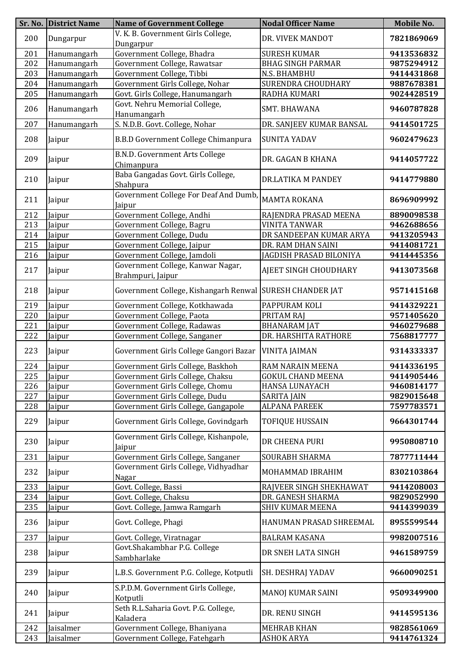|     | Sr. No. District Name | <b>Name of Government College</b>                          | <b>Nodal Officer Name</b> | Mobile No. |
|-----|-----------------------|------------------------------------------------------------|---------------------------|------------|
| 200 | Dungarpur             | V. K. B. Government Girls College,<br>Dungarpur            | DR. VIVEK MANDOT          | 7821869069 |
| 201 | Hanumangarh           | Government College, Bhadra                                 | <b>SURESH KUMAR</b>       | 9413536832 |
| 202 | Hanumangarh           | Government College, Rawatsar                               | <b>BHAG SINGH PARMAR</b>  | 9875294912 |
| 203 | Hanumangarh           | Government College, Tibbi                                  | N.S. BHAMBHU              | 9414431868 |
| 204 | Hanumangarh           | Government Girls College, Nohar                            | SURENDRA CHOUDHARY        | 9887678381 |
| 205 | Hanumangarh           | Govt. Girls College, Hanumangarh                           | RADHA KUMARI              | 9024428519 |
| 206 | Hanumangarh           | Govt. Nehru Memorial College,<br>Hanumangarh               | SMT. BHAWANA              | 9460787828 |
| 207 | Hanumangarh           | S. N.D.B. Govt. College, Nohar                             | DR. SANJEEV KUMAR BANSAL  | 9414501725 |
| 208 | Jaipur                | B.B.D Government College Chimanpura                        | <b>SUNITA YADAV</b>       | 9602479623 |
| 209 | Jaipur                | <b>B.N.D. Government Arts College</b><br>Chimanpura        | DR. GAGAN B KHANA         | 9414057722 |
| 210 | Jaipur                | Baba Gangadas Govt. Girls College,<br>Shahpura             | DR.LATIKA M PANDEY        | 9414779880 |
| 211 | Jaipur                | Government College For Deaf And Dumb,<br>Jaipur            | <b>MAMTA ROKANA</b>       | 8696909992 |
| 212 | Jaipur                | Government College, Andhi                                  | RAJENDRA PRASAD MEENA     | 8890098538 |
| 213 | Jaipur                | Government College, Bagru                                  | <b>VINITA TANWAR</b>      | 9462688656 |
| 214 | Jaipur                | Government College, Dudu                                   | DR SANDEEPAN KUMAR ARYA   | 9413205943 |
| 215 | Jaipur                | Government College, Jaipur                                 | DR. RAM DHAN SAINI        | 9414081721 |
| 216 | Jaipur                | Government College, Jamdoli                                | JAGDISH PRASAD BILONIYA   | 9414445356 |
| 217 | Jaipur                | Government College, Kanwar Nagar,<br>Brahmpuri, Jaipur     | AJEET SINGH CHOUDHARY     | 9413073568 |
| 218 | Jaipur                | Government College, Kishangarh Renwal   SURESH CHANDER JAT |                           | 9571415168 |
| 219 | Jaipur                | Government College, Kotkhawada                             | PAPPURAM KOLI             | 9414329221 |
| 220 | Jaipur                | Government College, Paota                                  | PRITAM RAJ                | 9571405620 |
| 221 | Jaipur                | Government College, Radawas                                | <b>BHANARAM JAT</b>       | 9460279688 |
| 222 | Jaipur                | Government College, Sanganer                               | DR. HARSHITA RATHORE      | 7568817777 |
| 223 | Jaipur                | Government Girls College Gangori Bazar                     | <b>VINITA JAIMAN</b>      | 9314333337 |
| 224 | Jaipur                | Government Girls College, Baskhoh                          | RAM NARAIN MEENA          | 9414336195 |
| 225 | Jaipur                | Government Girls College, Chaksu                           | <b>GOKUL CHAND MEENA</b>  | 9414905446 |
| 226 | Jaipur                | Government Girls College, Chomu                            | <b>HANSA LUNAYACH</b>     | 9460814177 |
| 227 | Jaipur                | Government Girls College, Dudu                             | <b>SARITA JAIN</b>        | 9829015648 |
| 228 | Jaipur                | Government Girls College, Gangapole                        | <b>ALPANA PAREEK</b>      | 7597783571 |
| 229 | Jaipur                | Government Girls College, Govindgarh                       | <b>TOFIQUE HUSSAIN</b>    | 9664301744 |
| 230 | Jaipur                | Government Girls College, Kishanpole,<br>Jaipur            | DR CHEENA PURI            | 9950808710 |
| 231 | Jaipur                | Government Girls College, Sanganer                         | SOURABH SHARMA            | 7877711444 |
| 232 | Jaipur                | Government Girls College, Vidhyadhar<br>Nagar              | MOHAMMAD IBRAHIM          | 8302103864 |
| 233 | Jaipur                | Govt. College, Bassi                                       | RAJVEER SINGH SHEKHAWAT   | 9414208003 |
| 234 | Jaipur                | Govt. College, Chaksu                                      | DR. GANESH SHARMA         | 9829052990 |
| 235 | Jaipur                | Govt. College, Jamwa Ramgarh                               | SHIV KUMAR MEENA          | 9414399039 |
| 236 | Jaipur                | Govt. College, Phagi                                       | HANUMAN PRASAD SHREEMAL   | 8955599544 |
| 237 | Jaipur                | Govt. College, Viratnagar                                  | <b>BALRAM KASANA</b>      | 9982007516 |
| 238 | Jaipur                | Govt.Shakambhar P.G. College<br>Sambharlake                | DR SNEH LATA SINGH        | 9461589759 |
| 239 | Jaipur                | L.B.S. Government P.G. College, Kotputli                   | <b>SH. DESHRAJ YADAV</b>  | 9660090251 |
| 240 | Jaipur                | S.P.D.M. Government Girls College,<br>Kotputli             | MANOJ KUMAR SAINI         | 9509349900 |
| 241 | Jaipur                | Seth R.L.Saharia Govt. P.G. College,<br>Kaladera           | DR. RENU SINGH            | 9414595136 |
| 242 | Jaisalmer             | Government College, Bhaniyana                              | <b>MEHRAB KHAN</b>        | 9828561069 |
| 243 | Jaisalmer             | Government College, Fatehgarh                              | <b>ASHOK ARYA</b>         | 9414761324 |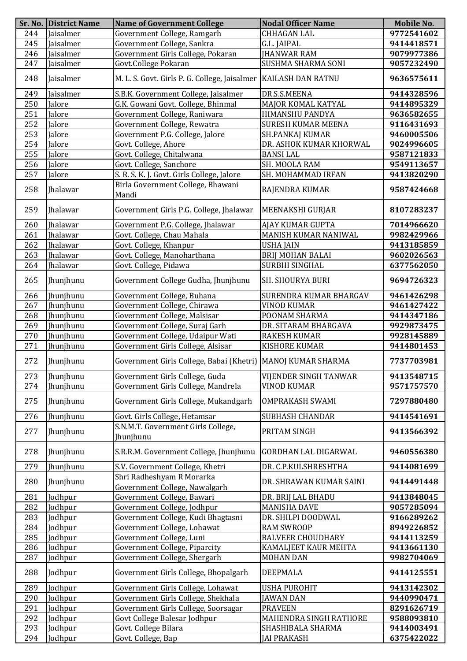|     | Sr. No. District Name | <b>Name of Government College</b>                                 | <b>Nodal Officer Name</b>   | Mobile No. |
|-----|-----------------------|-------------------------------------------------------------------|-----------------------------|------------|
| 244 | Jaisalmer             | Government College, Ramgarh                                       | CHHAGAN LAL                 | 9772541602 |
| 245 | Jaisalmer             | Government College, Sankra                                        | G.L. JAIPAL                 | 9414418571 |
| 246 | Jaisalmer             | Government Girls College, Pokaran                                 | <b>JHANWAR RAM</b>          | 9079977386 |
| 247 | Jaisalmer             | Govt.College Pokaran                                              | SUSHMA SHARMA SONI          | 9057232490 |
| 248 | Jaisalmer             | M. L. S. Govt. Girls P. G. College, Jaisalmer   KAILASH DAN RATNU |                             | 9636575611 |
| 249 | Jaisalmer             | S.B.K. Government College, Jaisalmer                              | DR.S.S.MEENA                | 9414328596 |
| 250 | Jalore                | G.K. Gowani Govt. College, Bhinmal                                | MAJOR KOMAL KATYAL          | 9414895329 |
| 251 | Jalore                | Government College, Raniwara                                      | HIMANSHU PANDYA             | 9636582655 |
| 252 | Jalore                | Government College, Rewatra                                       | <b>SURESH KUMAR MEENA</b>   | 9116431693 |
| 253 | Jalore                | Government P.G. College, Jalore                                   | SH.PANKAJ KUMAR             | 9460005506 |
| 254 | Jalore                | Govt. College, Ahore                                              | DR. ASHOK KUMAR KHORWAL     | 9024996605 |
| 255 | Jalore                | Govt. College, Chitalwana                                         | <b>BANSI LAL</b>            | 9587121833 |
| 256 | Jalore                | Govt. College, Sanchore                                           | SH. MOOLA RAM               | 9549113657 |
| 257 | Jalore                | S. R. S. K. J. Govt. Girls College, Jalore                        | SH. MOHAMMAD IRFAN          | 9413820290 |
| 258 | Jhalawar              | Birla Government College, Bhawani<br>Mandi                        | RAJENDRA KUMAR              | 9587424668 |
| 259 | Jhalawar              | Government Girls P.G. College, Jhalawar                           | MEENAKSHI GURJAR            | 8107283237 |
| 260 | Jhalawar              | Government P.G. College, Jhalawar                                 | AJAY KUMAR GUPTA            | 7014966620 |
| 261 | <b>Ihalawar</b>       | Govt. College, Chau Mahala                                        | MANISH KUMAR NANIWAL        | 9982429966 |
| 262 | <b>Ihalawar</b>       | Govt. College, Khanpur                                            | <b>USHA JAIN</b>            | 9413185859 |
| 263 | <b>Ihalawar</b>       | Govt. College, Manoharthana                                       | <b>BRIJ MOHAN BALAI</b>     | 9602026563 |
| 264 | Jhalawar              | Govt. College, Pidawa                                             | SURBHI SINGHAL              | 6377562050 |
| 265 | Jhunjhunu             | Government College Gudha, Jhunjhunu                               | <b>SH. SHOURYA BURI</b>     | 9694726323 |
| 266 | Jhunjhunu             | Government College, Buhana                                        | SURENDRA KUMAR BHARGAV      | 9461426298 |
| 267 | Jhunjhunu             | Government College, Chirawa                                       | <b>VINOD KUMAR</b>          | 9461427422 |
| 268 | Jhunjhunu             | Government College, Malsisar                                      | POONAM SHARMA               | 9414347186 |
| 269 | Jhunjhunu             | Government College, Suraj Garh                                    | DR. SITARAM BHARGAVA        | 9929873475 |
| 270 | Jhunjhunu             | Government College, Udaipur Wati                                  | <b>RAKESH KUMAR</b>         | 9928145889 |
| 271 | <b>Thunjhunu</b>      | Government Girls College, Alsisar                                 | <b>KISHORE KUMAR</b>        | 9414801453 |
| 272 | Jhunjhunu             | Government Girls College, Babai (Khetri)   MANOJ KUMAR SHARMA     |                             | 7737703981 |
| 273 | <b>Ihunihunu</b>      | Government Girls College, Guda                                    | VIJENDER SINGH TANWAR       | 9413548715 |
| 274 | Jhunjhunu             | Government Girls College, Mandrela                                | <b>VINOD KUMAR</b>          | 9571757570 |
| 275 | Jhunjhunu             | Government Girls College, Mukandgarh                              | <b>OMPRAKASH SWAMI</b>      | 7297880480 |
| 276 | <b>Ihunjhunu</b>      | Govt. Girls College, Hetamsar                                     | <b>SUBHASH CHANDAR</b>      | 9414541691 |
| 277 | Jhunjhunu             | S.N.M.T. Government Girls College,<br>Jhunjhunu                   | PRITAM SINGH                | 9413566392 |
| 278 | Jhunjhunu             | S.R.R.M. Government College, Jhunjhunu                            | <b>GORDHAN LAL DIGARWAL</b> | 9460556380 |
| 279 | Jhunjhunu             | S.V. Government College, Khetri                                   | DR. C.P.KULSHRESHTHA        | 9414081699 |
| 280 | Jhunjhunu             | Shri Radheshyam R Morarka<br>Government College, Nawalgarh        | DR. SHRAWAN KUMAR SAINI     | 9414491448 |
| 281 | Jodhpur               | Government College, Bawari                                        | DR. BRIJ LAL BHADU          | 9413848045 |
| 282 | Jodhpur               | Government College, Jodhpur                                       | <b>MANISHA DAVE</b>         | 9057285094 |
| 283 | Jodhpur               | Government College, Kudi Bhagtasni                                | DR. SHILPI DOODWAL          | 9166289262 |
| 284 | Jodhpur               | Government College, Lohawat                                       | <b>RAM SWROOP</b>           | 8949226852 |
| 285 | Jodhpur               | Government College, Luni                                          | <b>BALVEER CHOUDHARY</b>    | 9414113259 |
| 286 | Jodhpur               | Government College, Piparcity                                     | <b>KAMALJEET KAUR MEHTA</b> | 9413661130 |
| 287 | Jodhpur               | Government College, Shergarh                                      | <b>MOHAN DAN</b>            | 9982704069 |
| 288 | Jodhpur               | Government Girls College, Bhopalgarh                              | <b>DEEPMALA</b>             | 9414125551 |
| 289 | Jodhpur               | Government Girls College, Lohawat                                 | <b>USHA PUROHIT</b>         | 9413142302 |
| 290 | Jodhpur               | Government Girls College, Shekhala                                | <b>JAWAN DAN</b>            | 9440990471 |
| 291 | Jodhpur               | Government Girls College, Soorsagar                               | <b>PRAVEEN</b>              | 8291626719 |
| 292 | Jodhpur               | Govt College Balesar Jodhpur                                      | MAHENDRA SINGH RATHORE      | 9588093810 |
| 293 | Jodhpur               | Govt. College Bilara                                              | SHASHIBALA SHARMA           | 9414003491 |
| 294 | Jodhpur               | Govt. College, Bap                                                | <b>JAI PRAKASH</b>          | 6375422022 |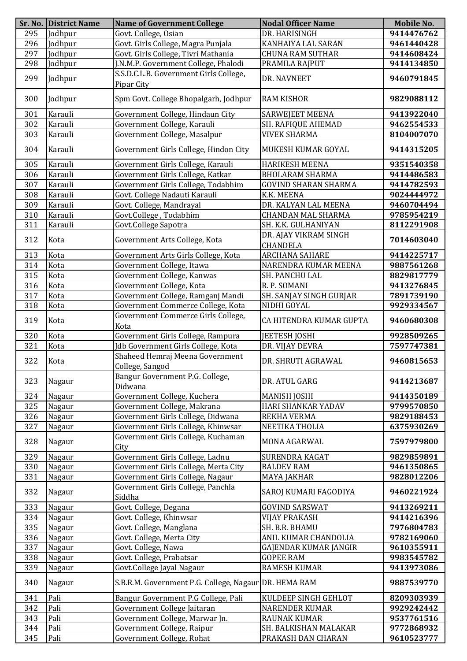|     | Sr. No. District Name | <b>Name of Government College</b>                     | <b>Nodal Officer Name</b>                | Mobile No. |
|-----|-----------------------|-------------------------------------------------------|------------------------------------------|------------|
| 295 | Jodhpur               | Govt. College, Osian                                  | DR. HARISINGH                            | 9414476762 |
| 296 | Jodhpur               | Govt. Girls College, Magra Punjala                    | KANHAIYA LAL SARAN                       | 9461440428 |
| 297 | Jodhpur               | Govt. Girls College, Tivri Mathania                   | <b>CHUNA RAM SUTHAR</b>                  | 9414608424 |
| 298 | Jodhpur               | J.N.M.P. Government College, Phalodi                  | PRAMILA RAJPUT                           | 9414134850 |
| 299 | Jodhpur               | S.S.D.C.L.B. Government Girls College,<br>Pipar City  | DR. NAVNEET                              | 9460791845 |
| 300 | Jodhpur               | Spm Govt. College Bhopalgarh, Jodhpur                 | <b>RAM KISHOR</b>                        | 9829088112 |
| 301 | Karauli               | Government College, Hindaun City                      | <b>SARWEJEET MEENA</b>                   | 9413922040 |
| 302 | Karauli               | Government College, Karauli                           | SH. RAFIQUE AHEMAD                       | 9462554533 |
| 303 | Karauli               | Government College, Masalpur                          | <b>VIVEK SHARMA</b>                      | 8104007070 |
| 304 | Karauli               | Government Girls College, Hindon City                 | MUKESH KUMAR GOYAL                       | 9414315205 |
| 305 | Karauli               | Government Girls College, Karauli                     | <b>HARIKESH MEENA</b>                    | 9351540358 |
| 306 | Karauli               | Government Girls College, Katkar                      | <b>BHOLARAM SHARMA</b>                   | 9414486583 |
| 307 | Karauli               | Government Girls College, Todabhim                    | <b>GOVIND SHARAN SHARMA</b>              | 9414782593 |
| 308 | Karauli               | Govt. College Nadauti Karauli                         | K.K. MEENA                               | 9024444972 |
| 309 | Karauli               | Govt. College, Mandrayal                              | DR. KALYAN LAL MEENA                     | 9460704494 |
| 310 | Karauli               | Govt.College, Todabhim                                | <b>CHANDAN MAL SHARMA</b>                | 9785954219 |
| 311 | Karauli               | Govt.College Sapotra                                  | SH. K.K. GULHANIYAN                      | 8112291908 |
| 312 | Kota                  | Government Arts College, Kota                         | DR. AJAY VIKRAM SINGH<br><b>CHANDELA</b> | 7014603040 |
| 313 | Kota                  | Government Arts Girls College, Kota                   | <b>ARCHANA SAHARE</b>                    | 9414225717 |
| 314 | Kota                  | Government College, Itawa                             | NARENDRA KUMAR MEENA                     | 9887561268 |
| 315 | Kota                  | Government College, Kanwas                            | SH. PANCHU LAL                           | 8829817779 |
| 316 | Kota                  | Government College, Kota                              | R. P. SOMANI                             | 9413276845 |
|     | Kota                  |                                                       |                                          |            |
| 317 |                       | Government College, Ramganj Mandi                     | SH. SANJAY SINGH GURJAR                  | 7891739190 |
| 318 | Kota                  | Government Commerce College, Kota                     | NIDHI GOYAL                              | 9929334567 |
| 319 | Kota                  | Government Commerce Girls College,<br>Kota            | CA HITENDRA KUMAR GUPTA                  | 9460680308 |
| 320 | Kota                  | Government Girls College, Rampura                     | <b>JEETESH JOSHI</b>                     | 9928509265 |
| 321 | Kota                  | Jdb Government Girls College, Kota                    | DR. VIJAY DEVRA                          | 7597747381 |
| 322 | Kota                  | Shaheed Hemraj Meena Government<br>College, Sangod    | DR. SHRUTI AGRAWAL                       | 9460815653 |
| 323 | Nagaur                | Bangur Government P.G. College,<br>Didwana            | DR. ATUL GARG                            | 9414213687 |
| 324 | Nagaur                | Government College, Kuchera                           | <b>MANISH JOSHI</b>                      | 9414350189 |
| 325 | Nagaur                | Government College, Makrana                           | HARI SHANKAR YADAV                       | 9799570850 |
| 326 | Nagaur                | Government Girls College, Didwana                     | REKHA VERMA                              | 9829188453 |
| 327 | Nagaur                | Government Girls College, Khinwsar                    | NEETIKA THOLIA                           | 6375930269 |
| 328 | Nagaur                | Government Girls College, Kuchaman<br>City            | MONA AGARWAL                             | 7597979800 |
| 329 | Nagaur                | Government Girls College, Ladnu                       | SURENDRA KAGAT                           | 9829859891 |
| 330 | Nagaur                | Government Girls College, Merta City                  | <b>BALDEV RAM</b>                        | 9461350865 |
| 331 | Nagaur                | Government Girls College, Nagaur                      | <b>MAYA JAKHAR</b>                       | 9828012206 |
| 332 | Nagaur                | Government Girls College, Panchla<br>Siddha           | SAROJ KUMARI FAGODIYA                    | 9460221924 |
| 333 | Nagaur                | Govt. College, Degana                                 | <b>GOVIND SARSWAT</b>                    | 9413269211 |
| 334 | Nagaur                | Govt. College, Khinwsar                               | <b>VIJAY PRAKASH</b>                     | 9414216396 |
| 335 | Nagaur                | Govt. College, Manglana                               | SH. B.R. BHAMU                           | 7976804783 |
| 336 | Nagaur                | Govt. College, Merta City                             | ANIL KUMAR CHANDOLIA                     | 9782169060 |
| 337 | Nagaur                | Govt. College, Nawa                                   | GAJENDAR KUMAR JANGIR                    | 9610355911 |
| 338 | Nagaur                | Govt. College, Prabatsar                              | <b>GOPEE RAM</b>                         | 9983545782 |
| 339 | Nagaur                | Govt.College Jayal Nagaur                             | <b>RAMESH KUMAR</b>                      | 9413973086 |
| 340 | Nagaur                | S.B.R.M. Government P.G. College, Nagaur DR. HEMA RAM |                                          | 9887539770 |
| 341 | Pali                  | Bangur Government P.G College, Pali                   | KULDEEP SINGH GEHLOT                     | 8209303939 |
| 342 | Pali                  | Government College Jaitaran                           | <b>NARENDER KUMAR</b>                    | 9929242442 |
| 343 | Pali                  | Government College, Marwar Jn.                        | <b>RAUNAK KUMAR</b>                      | 9537761516 |
| 344 | Pali                  | Government College, Raipur                            | SH. BALKISHAN MALAKAR                    | 9772868932 |
| 345 | Pali                  | Government College, Rohat                             | PRAKASH DAN CHARAN                       | 9610523777 |
|     |                       |                                                       |                                          |            |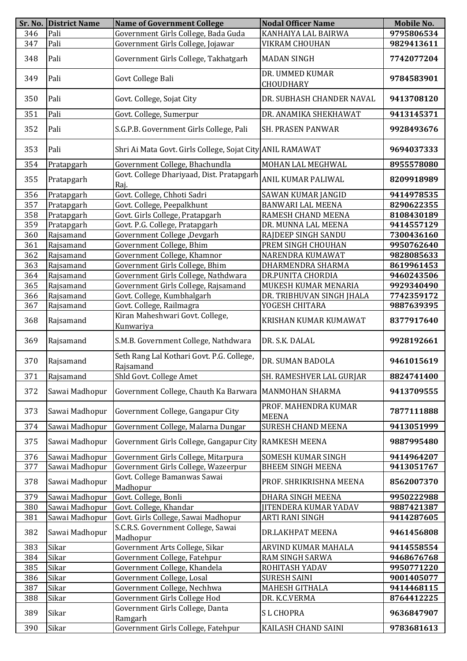|     | Sr. No. District Name | <b>Name of Government College</b>                         | <b>Nodal Officer Name</b>            | Mobile No. |
|-----|-----------------------|-----------------------------------------------------------|--------------------------------------|------------|
| 346 | Pali                  | Government Girls College, Bada Guda                       | KANHAIYA LAL BAIRWA                  | 9795806534 |
| 347 | Pali                  | Government Girls College, Jojawar                         | VIKRAM CHOUHAN                       | 9829413611 |
| 348 | Pali                  | Government Girls College, Takhatgarh                      | <b>MADAN SINGH</b>                   | 7742077204 |
| 349 | Pali                  | Govt College Bali                                         | DR. UMMED KUMAR<br>CHOUDHARY         | 9784583901 |
| 350 | Pali                  | Govt. College, Sojat City                                 | DR. SUBHASH CHANDER NAVAL            | 9413708120 |
| 351 | Pali                  | Govt. College, Sumerpur                                   | DR. ANAMIKA SHEKHAWAT                | 9413145371 |
| 352 | Pali                  | S.G.P.B. Government Girls College, Pali                   | SH. PRASEN PANWAR                    | 9928493676 |
| 353 | Pali                  | Shri Ai Mata Govt. Girls College, Sojat City ANIL RAMAWAT |                                      | 9694037333 |
| 354 | Pratapgarh            | Government College, Bhachundla                            | MOHAN LAL MEGHWAL                    | 8955578080 |
| 355 | Pratapgarh            | Govt. College Dhariyaad, Dist. Pratapgarh<br>Raj.         | ANIL KUMAR PALIWAL                   | 8209918989 |
| 356 | Pratapgarh            | Govt. College, Chhoti Sadri                               | SAWAN KUMAR JANGID                   | 9414978535 |
| 357 | Pratapgarh            | Govt. College, Peepalkhunt                                | <b>BANWARI LAL MEENA</b>             | 8290622355 |
| 358 | Pratapgarh            | Govt. Girls College, Pratapgarh                           | RAMESH CHAND MEENA                   | 8108430189 |
| 359 | Pratapgarh            | Govt. P.G. College, Pratapgarh                            | DR. MUNNA LAL MEENA                  | 9414557129 |
|     |                       |                                                           |                                      |            |
| 360 | Rajsamand             | Government College ,Devgarh                               | RAJDEEP SINGH SANDU                  | 7300436160 |
| 361 | Rajsamand             | Government College, Bhim                                  | PREM SINGH CHOUHAN                   | 9950762640 |
| 362 | Rajsamand             | Government College, Khamnor                               | NARENDRA KUMAWAT                     | 9828085633 |
| 363 | Rajsamand             | Government Girls College, Bhim                            | DHARMENDRA SHARMA                    | 8619961453 |
| 364 | Rajsamand             | Government Girls College, Nathdwara                       | DR.PUNITA CHORDIA                    | 9460243506 |
| 365 | Rajsamand             | Government Girls College, Rajsamand                       | MUKESH KUMAR MENARIA                 | 9929340490 |
| 366 | Rajsamand             | Govt. College, Kumbhalgarh                                | DR. TRIBHUVAN SINGH JHALA            | 7742359172 |
| 367 | Rajsamand             | Govt. College, Railmagra                                  | YOGESH CHITARA                       | 9887639395 |
| 368 | Rajsamand             | Kiran Maheshwari Govt. College,<br>Kunwariya              | KRISHAN KUMAR KUMAWAT                | 8377917640 |
| 369 | Rajsamand             | S.M.B. Government College, Nathdwara                      | DR. S.K. DALAL                       | 9928192661 |
| 370 | Rajsamand             | Seth Rang Lal Kothari Govt. P.G. College,<br>Rajsamand    | DR. SUMAN BADOLA                     | 9461015619 |
| 371 | Rajsamand             | Shld Govt. College Amet                                   | SH. RAMESHVER LAL GURJAR             | 8824741400 |
| 372 | Sawai Madhopur        | Government College, Chauth Ka Barwara                     | <b>MANMOHAN SHARMA</b>               | 9413709555 |
| 373 | Sawai Madhopur        | Government College, Gangapur City                         | PROF. MAHENDRA KUMAR<br><b>MEENA</b> | 7877111888 |
| 374 | Sawai Madhopur        | Government College, Malarna Dungar                        | <b>SURESH CHAND MEENA</b>            | 9413051999 |
| 375 | Sawai Madhopur        | Government Girls College, Gangapur City                   | <b>RAMKESH MEENA</b>                 | 9887995480 |
| 376 | Sawai Madhopur        | Government Girls College, Mitarpura                       | SOMESH KUMAR SINGH                   | 9414964207 |
| 377 | Sawai Madhopur        | Government Girls College, Wazeerpur                       | <b>BHEEM SINGH MEENA</b>             | 9413051767 |
| 378 | Sawai Madhopur        | Govt. College Bamanwas Sawai<br>Madhopur                  | PROF. SHRIKRISHNA MEENA              | 8562007370 |
| 379 | Sawai Madhopur        | Govt. College, Bonli                                      | DHARA SINGH MEENA                    | 9950222988 |
|     |                       |                                                           |                                      |            |
| 380 | Sawai Madhopur        | Govt. College, Khandar                                    | <b>JITENDERA KUMAR YADAV</b>         | 9887421387 |
| 381 | Sawai Madhopur        | Govt. Girls College, Sawai Madhopur                       | ARTI RANI SINGH                      | 9414287605 |
| 382 | Sawai Madhopur        | S.C.R.S. Government College, Sawai<br>Madhopur            | DR.LAKHPAT MEENA                     | 9461456808 |
| 383 | Sikar                 | Government Arts College, Sikar                            | ARVIND KUMAR MAHALA                  | 9414558554 |
| 384 | Sikar                 | Government College, Fatehpur                              | RAM SINGH SARWA                      | 9468676768 |
| 385 | Sikar                 | Government College, Khandela                              | ROHITASH YADAV                       | 9950771220 |
| 386 | Sikar                 | Government College, Losal                                 | <b>SURESH SAINI</b>                  | 9001405077 |
| 387 | Sikar                 | Government College, Nechhwa                               | MAHESH GITHALA                       | 9414468115 |
| 388 | Sikar                 | Government Girls College Hod                              | DR. K.C.VERMA                        | 8764412225 |
|     |                       | Government Girls College, Danta                           |                                      |            |
| 389 | Sikar                 | Ramgarh                                                   | <b>SL CHOPRA</b>                     | 9636847907 |
| 390 | Sikar                 | Government Girls College, Fatehpur                        | KAILASH CHAND SAINI                  | 9783681613 |